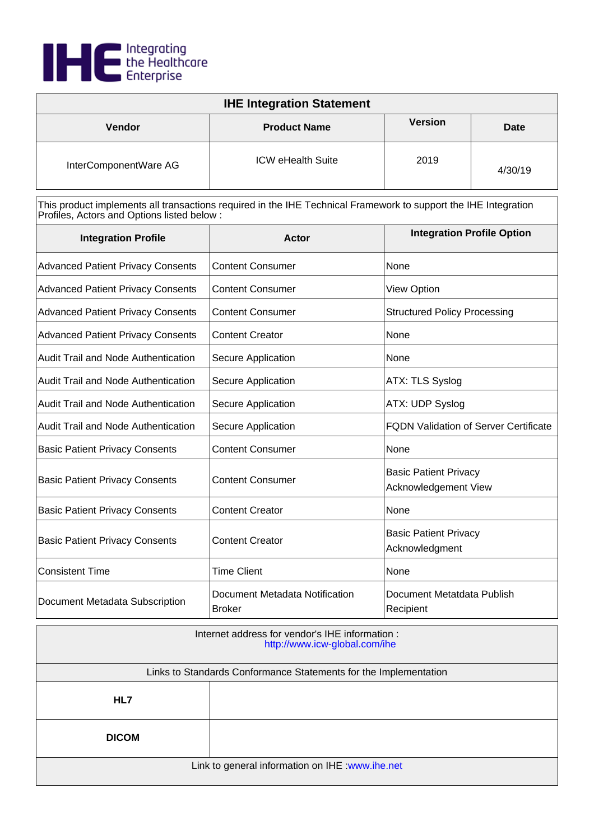

| <b>IHE Integration Statement</b> |                          |                |             |
|----------------------------------|--------------------------|----------------|-------------|
| Vendor                           | <b>Product Name</b>      | <b>Version</b> | <b>Date</b> |
| InterComponentWare AG            | <b>ICW eHealth Suite</b> | 2019           | 4/30/19     |

| <b>Integration Profile</b>               | <b>Actor</b>                                    | <b>Integration Profile Option</b>                    |
|------------------------------------------|-------------------------------------------------|------------------------------------------------------|
| <b>Advanced Patient Privacy Consents</b> | <b>Content Consumer</b>                         | None                                                 |
| <b>Advanced Patient Privacy Consents</b> | <b>Content Consumer</b>                         | View Option                                          |
| <b>Advanced Patient Privacy Consents</b> | <b>Content Consumer</b>                         | <b>Structured Policy Processing</b>                  |
| <b>Advanced Patient Privacy Consents</b> | <b>Content Creator</b>                          | None                                                 |
| Audit Trail and Node Authentication      | Secure Application                              | None                                                 |
| Audit Trail and Node Authentication      | Secure Application                              | ATX: TLS Syslog                                      |
| Audit Trail and Node Authentication      | Secure Application                              | ATX: UDP Syslog                                      |
| Audit Trail and Node Authentication      | Secure Application                              | <b>FQDN Validation of Server Certificate</b>         |
| <b>Basic Patient Privacy Consents</b>    | <b>Content Consumer</b>                         | None                                                 |
| <b>Basic Patient Privacy Consents</b>    | <b>Content Consumer</b>                         | <b>Basic Patient Privacy</b><br>Acknowledgement View |
| <b>Basic Patient Privacy Consents</b>    | <b>Content Creator</b>                          | None                                                 |
| <b>Basic Patient Privacy Consents</b>    | <b>Content Creator</b>                          | <b>Basic Patient Privacy</b><br>Acknowledgment       |
| <b>Consistent Time</b>                   | <b>Time Client</b>                              | None                                                 |
| Document Metadata Subscription           | Document Metadata Notification<br><b>Broker</b> | Document Metatdata Publish<br>Recipient              |

| Internet address for vendor's IHE information :<br>http://www.icw-global.com/ihe |  |
|----------------------------------------------------------------------------------|--|
| Links to Standards Conformance Statements for the Implementation                 |  |
| HL7                                                                              |  |
| <b>DICOM</b>                                                                     |  |
| Link to general information on IHE : www.ihe.net                                 |  |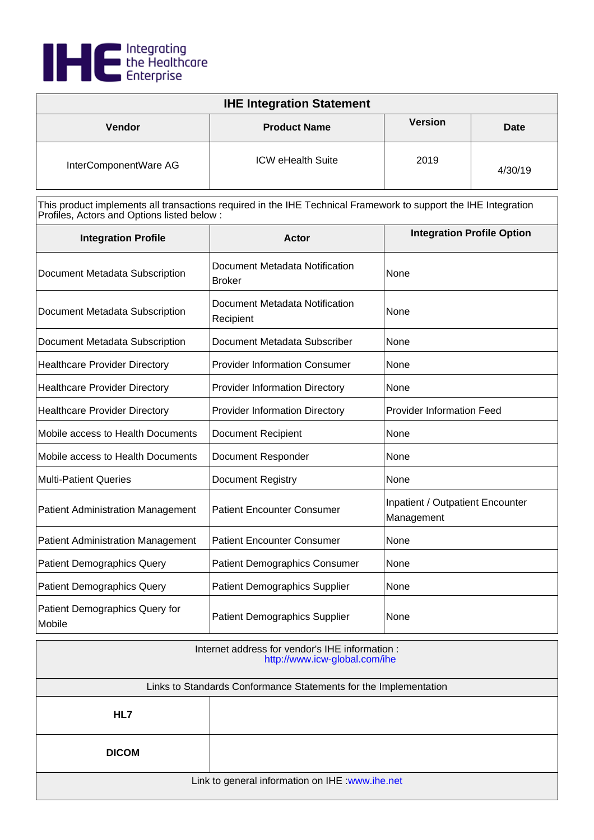

| <b>IHE Integration Statement</b> |                          |                |         |
|----------------------------------|--------------------------|----------------|---------|
| <b>Vendor</b>                    | <b>Product Name</b>      | <b>Version</b> | Date    |
| InterComponentWare AG            | <b>ICW eHealth Suite</b> | 2019           | 4/30/19 |

| <b>Integration Profile</b>               | Actor                                           | <b>Integration Profile Option</b>              |
|------------------------------------------|-------------------------------------------------|------------------------------------------------|
| Document Metadata Subscription           | Document Metadata Notification<br><b>Broker</b> | None                                           |
| Document Metadata Subscription           | Document Metadata Notification<br>Recipient     | None                                           |
| Document Metadata Subscription           | Document Metadata Subscriber                    | None                                           |
| <b>Healthcare Provider Directory</b>     | <b>Provider Information Consumer</b>            | None                                           |
| <b>Healthcare Provider Directory</b>     | <b>Provider Information Directory</b>           | None                                           |
| <b>Healthcare Provider Directory</b>     | <b>Provider Information Directory</b>           | <b>Provider Information Feed</b>               |
| Mobile access to Health Documents        | <b>Document Recipient</b>                       | None                                           |
| Mobile access to Health Documents        | Document Responder                              | None                                           |
| <b>Multi-Patient Queries</b>             | <b>Document Registry</b>                        | None                                           |
| <b>Patient Administration Management</b> | <b>Patient Encounter Consumer</b>               | Inpatient / Outpatient Encounter<br>Management |
| <b>Patient Administration Management</b> | <b>Patient Encounter Consumer</b>               | None                                           |
| <b>Patient Demographics Query</b>        | <b>Patient Demographics Consumer</b>            | None                                           |
| <b>Patient Demographics Query</b>        | <b>Patient Demographics Supplier</b>            | None                                           |
| Patient Demographics Query for<br>Mobile | <b>Patient Demographics Supplier</b>            | None                                           |

| Internet address for vendor's IHE information :<br>http://www.icw-global.com/ihe |  |
|----------------------------------------------------------------------------------|--|
| Links to Standards Conformance Statements for the Implementation                 |  |
| HL7                                                                              |  |
| <b>DICOM</b>                                                                     |  |
| Link to general information on IHE : www.ihe.net                                 |  |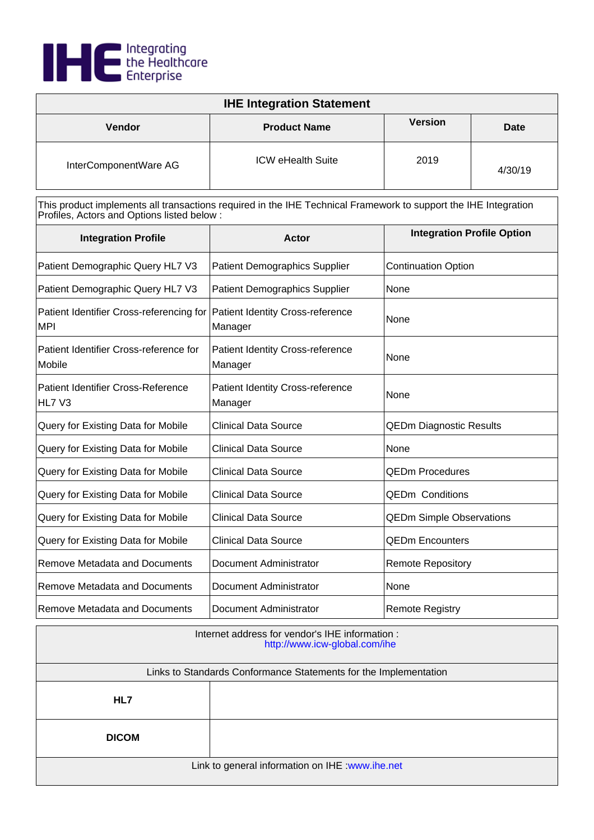

| <b>IHE Integration Statement</b> |                          |                |             |
|----------------------------------|--------------------------|----------------|-------------|
| <b>Vendor</b>                    | <b>Product Name</b>      | <b>Version</b> | <b>Date</b> |
| InterComponentWare AG            | <b>ICW eHealth Suite</b> | 2019           | 4/30/19     |

| <b>Integration Profile</b>                                                              | Actor                                              | <b>Integration Profile Option</b> |
|-----------------------------------------------------------------------------------------|----------------------------------------------------|-----------------------------------|
| Patient Demographic Query HL7 V3                                                        | <b>Patient Demographics Supplier</b>               | <b>Continuation Option</b>        |
| Patient Demographic Query HL7 V3                                                        | <b>Patient Demographics Supplier</b>               | None                              |
| Patient Identifier Cross-referencing for Patient Identity Cross-reference<br><b>MPI</b> | Manager                                            | None                              |
| Patient Identifier Cross-reference for<br>Mobile                                        | <b>Patient Identity Cross-reference</b><br>Manager | None                              |
| <b>Patient Identifier Cross-Reference</b><br>HL7 V3                                     | <b>Patient Identity Cross-reference</b><br>Manager | None                              |
| Query for Existing Data for Mobile                                                      | <b>Clinical Data Source</b>                        | <b>QEDm Diagnostic Results</b>    |
| Query for Existing Data for Mobile                                                      | <b>Clinical Data Source</b>                        | None                              |
| Query for Existing Data for Mobile                                                      | <b>Clinical Data Source</b>                        | <b>QEDm Procedures</b>            |
| Query for Existing Data for Mobile                                                      | <b>Clinical Data Source</b>                        | <b>QEDm Conditions</b>            |
| Query for Existing Data for Mobile                                                      | <b>Clinical Data Source</b>                        | <b>QEDm Simple Observations</b>   |
| Query for Existing Data for Mobile                                                      | <b>Clinical Data Source</b>                        | <b>QEDm Encounters</b>            |
| <b>Remove Metadata and Documents</b>                                                    | Document Administrator                             | <b>Remote Repository</b>          |
| <b>Remove Metadata and Documents</b>                                                    | Document Administrator                             | None                              |
| Remove Metadata and Documents                                                           | Document Administrator                             | <b>Remote Registry</b>            |

| Internet address for vendor's IHE information :<br>http://www.icw-global.com/ihe |  |
|----------------------------------------------------------------------------------|--|
| Links to Standards Conformance Statements for the Implementation                 |  |
| HL7                                                                              |  |
| <b>DICOM</b>                                                                     |  |
| Link to general information on IHE : www.ihe.net                                 |  |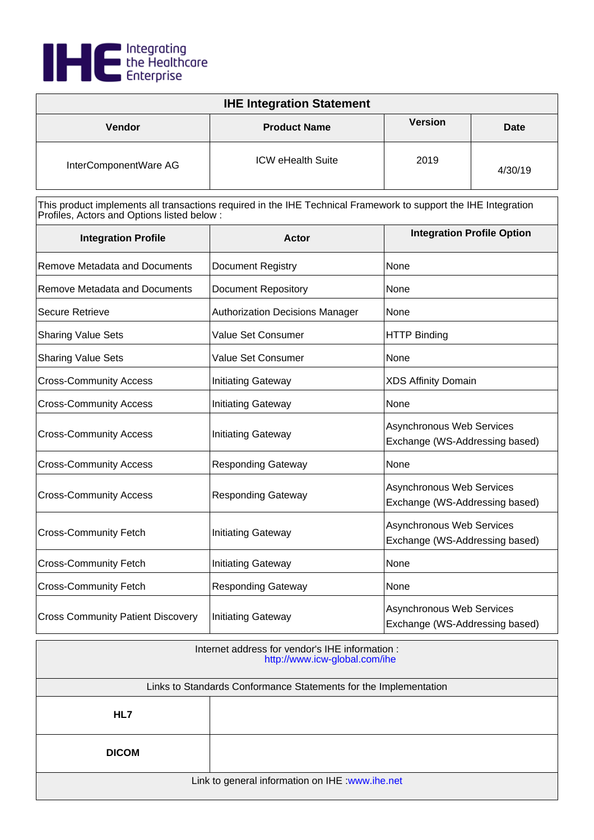

| <b>IHE Integration Statement</b> |                          |                |         |
|----------------------------------|--------------------------|----------------|---------|
| <b>Vendor</b>                    | <b>Product Name</b>      | <b>Version</b> | Date    |
| InterComponentWare AG            | <b>ICW eHealth Suite</b> | 2019           | 4/30/19 |

| <b>Integration Profile</b>               | <b>Actor</b>                           | <b>Integration Profile Option</b>                           |
|------------------------------------------|----------------------------------------|-------------------------------------------------------------|
| Remove Metadata and Documents            | <b>Document Registry</b>               | None                                                        |
| <b>Remove Metadata and Documents</b>     | <b>Document Repository</b>             | None                                                        |
| <b>Secure Retrieve</b>                   | <b>Authorization Decisions Manager</b> | None                                                        |
| <b>Sharing Value Sets</b>                | Value Set Consumer                     | <b>HTTP Binding</b>                                         |
| <b>Sharing Value Sets</b>                | Value Set Consumer                     | None                                                        |
| <b>Cross-Community Access</b>            | <b>Initiating Gateway</b>              | <b>XDS Affinity Domain</b>                                  |
| <b>Cross-Community Access</b>            | <b>Initiating Gateway</b>              | None                                                        |
| <b>Cross-Community Access</b>            | Initiating Gateway                     | Asynchronous Web Services<br>Exchange (WS-Addressing based) |
| <b>Cross-Community Access</b>            | <b>Responding Gateway</b>              | None                                                        |
| <b>Cross-Community Access</b>            | <b>Responding Gateway</b>              | Asynchronous Web Services<br>Exchange (WS-Addressing based) |
| <b>Cross-Community Fetch</b>             | <b>Initiating Gateway</b>              | Asynchronous Web Services<br>Exchange (WS-Addressing based) |
| <b>Cross-Community Fetch</b>             | <b>Initiating Gateway</b>              | None                                                        |
| <b>Cross-Community Fetch</b>             | <b>Responding Gateway</b>              | None                                                        |
| <b>Cross Community Patient Discovery</b> | <b>Initiating Gateway</b>              | Asynchronous Web Services<br>Exchange (WS-Addressing based) |

| Internet address for vendor's IHE information :<br>http://www.icw-global.com/ihe |  |
|----------------------------------------------------------------------------------|--|
| Links to Standards Conformance Statements for the Implementation                 |  |
| HL7                                                                              |  |
| <b>DICOM</b>                                                                     |  |
| Link to general information on IHE : www.ihe.net                                 |  |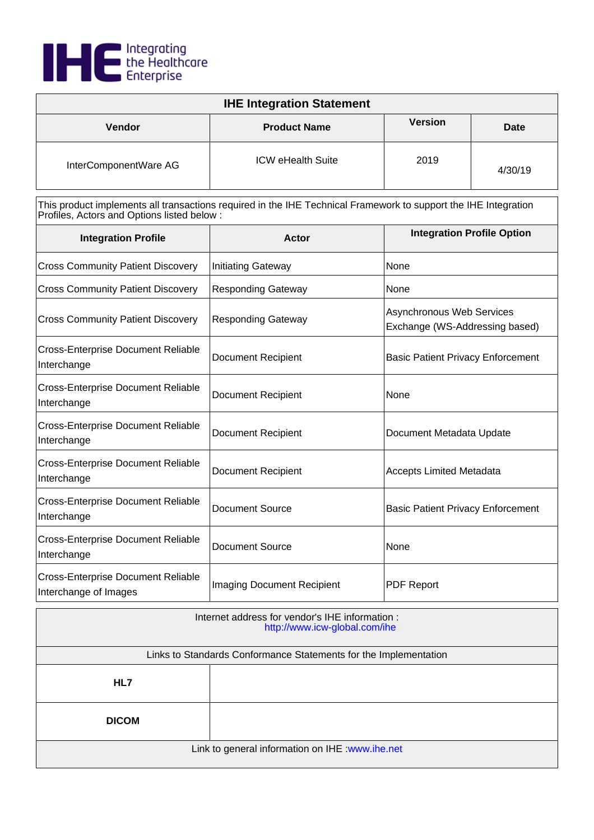

| <b>IHE Integration Statement</b> |                          |                |         |
|----------------------------------|--------------------------|----------------|---------|
| Vendor                           | <b>Product Name</b>      | <b>Version</b> | Date    |
| InterComponentWare AG            | <b>ICW eHealth Suite</b> | 2019           | 4/30/19 |

| <b>Integration Profile</b>                                         | Actor                             | <b>Integration Profile Option</b>                                  |
|--------------------------------------------------------------------|-----------------------------------|--------------------------------------------------------------------|
| <b>Cross Community Patient Discovery</b>                           | <b>Initiating Gateway</b>         | None                                                               |
| <b>Cross Community Patient Discovery</b>                           | <b>Responding Gateway</b>         | <b>None</b>                                                        |
| <b>Cross Community Patient Discovery</b>                           | <b>Responding Gateway</b>         | <b>Asynchronous Web Services</b><br>Exchange (WS-Addressing based) |
| <b>Cross-Enterprise Document Reliable</b><br>Interchange           | <b>Document Recipient</b>         | <b>Basic Patient Privacy Enforcement</b>                           |
| <b>Cross-Enterprise Document Reliable</b><br>Interchange           | <b>Document Recipient</b>         | None                                                               |
| <b>Cross-Enterprise Document Reliable</b><br>Interchange           | <b>Document Recipient</b>         | Document Metadata Update                                           |
| <b>Cross-Enterprise Document Reliable</b><br>Interchange           | <b>Document Recipient</b>         | <b>Accepts Limited Metadata</b>                                    |
| <b>Cross-Enterprise Document Reliable</b><br>Interchange           | Document Source                   | <b>Basic Patient Privacy Enforcement</b>                           |
| <b>Cross-Enterprise Document Reliable</b><br>Interchange           | <b>Document Source</b>            | None                                                               |
| <b>Cross-Enterprise Document Reliable</b><br>Interchange of Images | <b>Imaging Document Recipient</b> | <b>PDF Report</b>                                                  |

| Internet address for vendor's IHE information :<br>http://www.icw-global.com/ihe |                                                                  |  |
|----------------------------------------------------------------------------------|------------------------------------------------------------------|--|
|                                                                                  | Links to Standards Conformance Statements for the Implementation |  |
| HL7                                                                              |                                                                  |  |
| <b>DICOM</b>                                                                     |                                                                  |  |
| Link to general information on IHE : www.ihe.net                                 |                                                                  |  |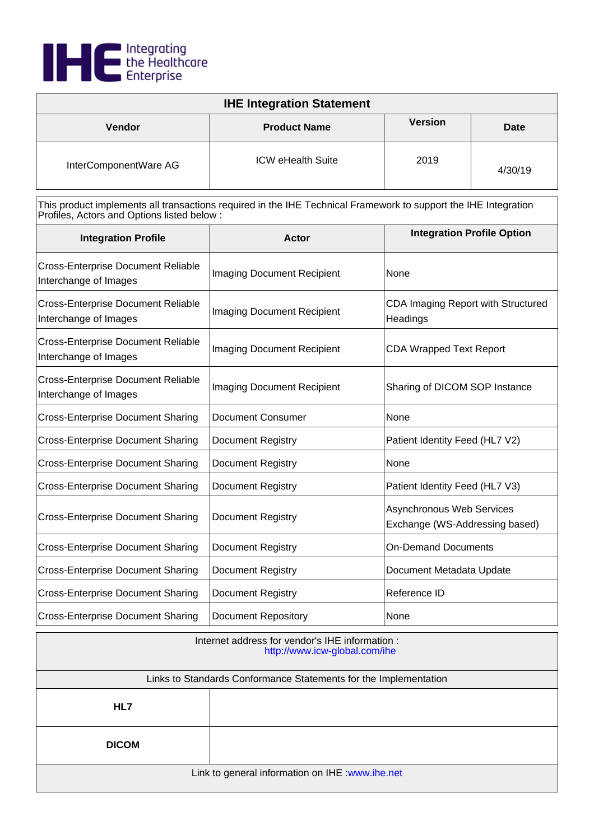

| <b>IHE Integration Statement</b> |                          |                |             |
|----------------------------------|--------------------------|----------------|-------------|
| <b>Vendor</b>                    | <b>Product Name</b>      | <b>Version</b> | <b>Date</b> |
| InterComponentWare AG            | <b>ICW eHealth Suite</b> | 2019           | 4/30/19     |

| <b>Integration Profile</b>                                         | Actor                             | <b>Integration Profile Option</b>                                  |
|--------------------------------------------------------------------|-----------------------------------|--------------------------------------------------------------------|
| <b>Cross-Enterprise Document Reliable</b><br>Interchange of Images | <b>Imaging Document Recipient</b> | None                                                               |
| <b>Cross-Enterprise Document Reliable</b><br>Interchange of Images | <b>Imaging Document Recipient</b> | CDA Imaging Report with Structured<br>Headings                     |
| <b>Cross-Enterprise Document Reliable</b><br>Interchange of Images | <b>Imaging Document Recipient</b> | <b>CDA Wrapped Text Report</b>                                     |
| <b>Cross-Enterprise Document Reliable</b><br>Interchange of Images | <b>Imaging Document Recipient</b> | Sharing of DICOM SOP Instance                                      |
| <b>Cross-Enterprise Document Sharing</b>                           | <b>Document Consumer</b>          | None                                                               |
| <b>Cross-Enterprise Document Sharing</b>                           | Document Registry                 | Patient Identity Feed (HL7 V2)                                     |
| <b>Cross-Enterprise Document Sharing</b>                           | Document Registry                 | None                                                               |
| <b>Cross-Enterprise Document Sharing</b>                           | <b>Document Registry</b>          | Patient Identity Feed (HL7 V3)                                     |
| <b>Cross-Enterprise Document Sharing</b>                           | <b>Document Registry</b>          | <b>Asynchronous Web Services</b><br>Exchange (WS-Addressing based) |
| <b>Cross-Enterprise Document Sharing</b>                           | Document Registry                 | <b>On-Demand Documents</b>                                         |
| <b>Cross-Enterprise Document Sharing</b>                           | Document Registry                 | Document Metadata Update                                           |
| <b>Cross-Enterprise Document Sharing</b>                           | <b>Document Registry</b>          | Reference ID                                                       |
| <b>Cross-Enterprise Document Sharing</b>                           | <b>Document Repository</b>        | None                                                               |

| Internet address for vendor's IHE information :<br>http://www.icw-global.com/ihe |  |
|----------------------------------------------------------------------------------|--|
| Links to Standards Conformance Statements for the Implementation                 |  |
| HL7                                                                              |  |
| <b>DICOM</b>                                                                     |  |
| Link to general information on IHE : www.ihe.net                                 |  |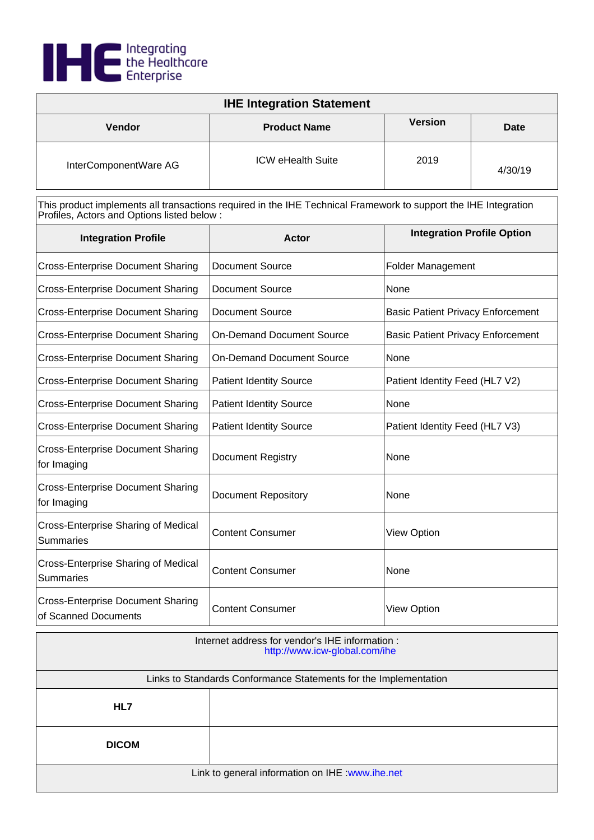

| <b>IHE Integration Statement</b> |                          |                |             |
|----------------------------------|--------------------------|----------------|-------------|
| Vendor                           | <b>Product Name</b>      | <b>Version</b> | <b>Date</b> |
| InterComponentWare AG            | <b>ICW eHealth Suite</b> | 2019           | 4/30/19     |

| <b>Integration Profile</b>                                       | Actor                            | <b>Integration Profile Option</b>        |
|------------------------------------------------------------------|----------------------------------|------------------------------------------|
| <b>Cross-Enterprise Document Sharing</b>                         | <b>Document Source</b>           | <b>Folder Management</b>                 |
| <b>Cross-Enterprise Document Sharing</b>                         | Document Source                  | None                                     |
| <b>Cross-Enterprise Document Sharing</b>                         | <b>Document Source</b>           | <b>Basic Patient Privacy Enforcement</b> |
| <b>Cross-Enterprise Document Sharing</b>                         | <b>On-Demand Document Source</b> | <b>Basic Patient Privacy Enforcement</b> |
| <b>Cross-Enterprise Document Sharing</b>                         | <b>On-Demand Document Source</b> | None                                     |
| <b>Cross-Enterprise Document Sharing</b>                         | <b>Patient Identity Source</b>   | Patient Identity Feed (HL7 V2)           |
| <b>Cross-Enterprise Document Sharing</b>                         | <b>Patient Identity Source</b>   | None                                     |
| <b>Cross-Enterprise Document Sharing</b>                         | <b>Patient Identity Source</b>   | Patient Identity Feed (HL7 V3)           |
| <b>Cross-Enterprise Document Sharing</b><br>for Imaging          | <b>Document Registry</b>         | None                                     |
| <b>Cross-Enterprise Document Sharing</b><br>for Imaging          | <b>Document Repository</b>       | None                                     |
| <b>Cross-Enterprise Sharing of Medical</b><br><b>Summaries</b>   | <b>Content Consumer</b>          | <b>View Option</b>                       |
| Cross-Enterprise Sharing of Medical<br><b>Summaries</b>          | <b>Content Consumer</b>          | None                                     |
| <b>Cross-Enterprise Document Sharing</b><br>of Scanned Documents | <b>Content Consumer</b>          | <b>View Option</b>                       |

| Internet address for vendor's IHE information :<br>http://www.icw-global.com/ihe |  |
|----------------------------------------------------------------------------------|--|
| Links to Standards Conformance Statements for the Implementation                 |  |
| HL7                                                                              |  |
| <b>DICOM</b>                                                                     |  |
| Link to general information on IHE : www.ihe.net                                 |  |